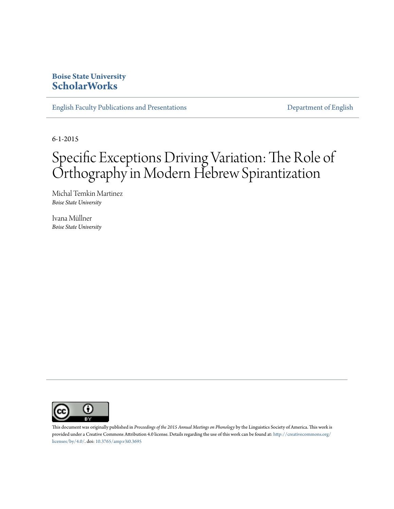### **Boise State University [ScholarWorks](https://scholarworks.boisestate.edu)**

[English Faculty Publications and Presentations](https://scholarworks.boisestate.edu/english_facpubs) **[Department of English](https://scholarworks.boisestate.edu/english)** 

6-1-2015

# Specific Exceptions Driving Variation: The Role of Orthography in Modern Hebrew Spirantization

Michal Temkin Martinez *Boise State University*

Ivana Müllner *Boise State University*



This document was originally published in *Proceedings of the 2015 Annual Meetings on Phonology* by the Linguistics Society of America. This work is provided under a Creative Commons Attribution 4.0 license. Details regarding the use of this work can be found at: [http://creativecommons.org/](http://creativecommons.org/licenses/by/4.0/) [licenses/by/4.0/.](http://creativecommons.org/licenses/by/4.0/) doi: [10.3765/amp.v3i0.3695](http://dx.doi.org/10.3765/amp.v3i0.3695)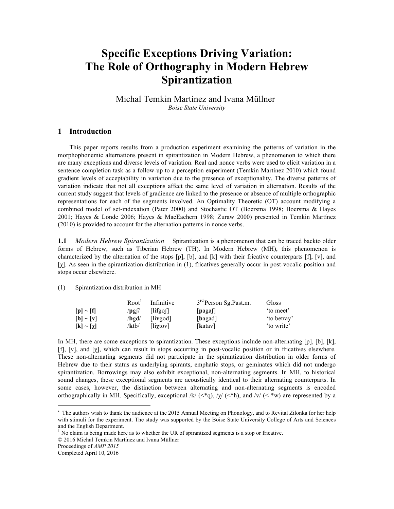## **Specific Exceptions Driving Variation: The Role of Orthography in Modern Hebrew Spirantization**

Michal Temkin Martínez and Ivana Müllner\* *Boise State University*

#### **1 Introduction**

This paper reports results from a production experiment examining the patterns of variation in the morphophonemic alternations present in spirantization in Modern Hebrew, a phenomenon to which there are many exceptions and diverse levels of variation. Real and nonce verbs were used to elicit variation in a sentence completion task as a follow-up to a perception experiment (Temkin Martínez 2010) which found gradient levels of acceptability in variation due to the presence of exceptionality. The diverse patterns of variation indicate that not all exceptions affect the same level of variation in alternation. Results of the current study suggest that levels of gradience are linked to the presence or absence of multiple orthographic representations for each of the segments involved. An Optimality Theoretic (OT) account modifying a combined model of set-indexation (Pater 2000) and Stochastic OT (Boersma 1998; Boersma & Hayes 2001; Hayes & Londe 2006; Hayes & MacEachern 1998; Zuraw 2000) presented in Temkin Martínez (2010) is provided to account for the alternation patterns in nonce verbs.

**1.1** *Modern Hebrew Spirantization* Spirantization is a phenomenon that can be traced backto older forms of Hebrew, such as Tiberian Hebrew (TH). In Modern Hebrew (MH), this phenomenon is characterized by the alternation of the stops [p], [b], and [k] with their fricative counterparts [f], [v], and [χ]. As seen in the spirantization distribution in (1), fricatives generally occur in post-vocalic position and stops occur elsewhere.

#### (1) Spirantization distribution in MH

|                   | Root <sup>1</sup> | Infinitive               | 3 <sup>rd</sup> Person Sg.Past.m. | Gloss      |
|-------------------|-------------------|--------------------------|-----------------------------------|------------|
| $[p] \sim [f]$    | $'$ pg  $'$       | $\left[\right]$          | $\lfloor$ pagas                   | to meet'   |
| $[b] \sim [v]$    | /bgd/             | [livgod]                 | [bagad]                           | to betray' |
| $[k] \sim [\chi]$ | ktb/              | $\lceil$ liytov $\rceil$ | [katav]                           | to write'  |

In MH, there are some exceptions to spirantization. These exceptions include non-alternating [p], [b], [k], [f], [v], and [χ], which can result in stops occurring in post-vocalic position or in fricatives elsewhere. These non-alternating segments did not participate in the spirantization distribution in older forms of Hebrew due to their status as underlying spirants, emphatic stops, or geminates which did not undergo spirantization. Borrowings may also exhibit exceptional, non-alternating segments. In MH, to historical sound changes, these exceptional segments are acoustically identical to their alternating counterparts. In some cases, however, the distinction between alternating and non-alternating segments is encoded orthographically in MH. Specifically, exceptional  $/k/$  ( $\lt^*$ q),  $/\chi$  ( $\lt^*$ h), and  $/\nu$  ( $\lt^*$ w) are represented by a

 

<sup>\*</sup> The authors wish to thank the audience at the 2015 Annual Meeting on Phonology, and to Revital Zilonka for her help with stimuli for the experiment. The study was supported by the Boise State University College of Arts and Sciences and the English Department.

<sup>&</sup>lt;sup>1</sup> No claim is being made here as to whether the UR of spirantized segments is a stop or fricative.

<sup>© 2016</sup> Michal Temkin Martínez and Ivana Müllner

Proceedings of *AMP 2015*

Completed April 10, 2016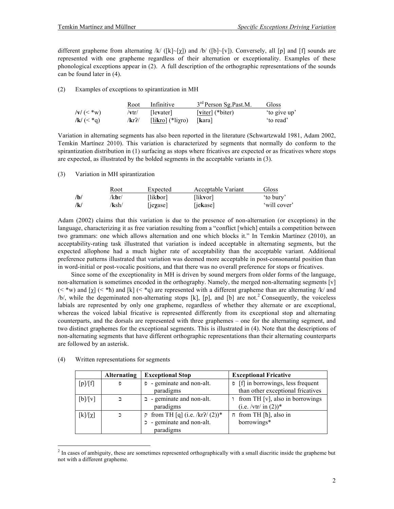different grapheme from alternating /k/ ([k]~[ $\chi$ ]) and /b/ ([b]~[v]). Conversely, all [p] and [f] sounds are represented with one grapheme regardless of their alternation or exceptionality. Examples of these phonological exceptions appear in (2). A full description of the orthographic representations of the sounds can be found later in (4).

(2) Examples of exceptions to spirantization in MH

|                      | Root                  | Infinitive                   | 3 <sup>rd</sup> Person Sg.Past.M. | Gloss        |
|----------------------|-----------------------|------------------------------|-----------------------------------|--------------|
| $ V  \leq$ *w $ V $  | $/ \mathbf{v}$ tr $/$ | llevater l                   | $\lceil$ viter $\rceil$ (*biter)  | 'to give up' |
| $ {\bf k}  \leq$ *g) | /kr?/                 | [likro] $(*$ li $\gamma$ ro) | <b>Ikaral</b>                     | to read'     |

Variation in alternating segments has also been reported in the literature (Schwartzwald 1981, Adam 2002, Temkin Martínez 2010). This variation is characterized by segments that normally do conform to the spirantization distribution in (1) surfacing as stops where fricatives are expected or as fricatives where stops are expected, as illustrated by the bolded segments in the acceptable variants in (3).

(3) Variation in MH spirantization

|     | Root  | Expected          | Acceptable Variant | Gloss        |
|-----|-------|-------------------|--------------------|--------------|
| /b/ | /kbr/ | [lik <b>b</b> or] | [likvor]           | to bury'     |
| /k/ | /ksh/ | <i>ie</i> yase    | [jekase]           | 'will cover' |

Adam (2002) claims that this variation is due to the presence of non-alternation (or exceptions) in the language, characterizing it as free variation resulting from a "conflict [which] entails a competition between two grammars: one which allows alternation and one which blocks it." In Temkin Martínez (2010), an acceptability-rating task illustrated that variation is indeed acceptable in alternating segments, but the expected allophone had a much higher rate of acceptability than the acceptable variant. Additional preference patterns illustrated that variation was deemed more acceptable in post-consonantal position than in word-initial or post-vocalic positions, and that there was no overall preference for stops or fricatives.

Since some of the exceptionality in MH is driven by sound mergers from older forms of the language, non-alternation is sometimes encoded in the orthography. Namely, the merged non-alternating segments [v]  $(\leq^*w)$  and  $[\gamma]$  ( $\leq^*h$ ) and  $[\kappa]$  ( $\leq^*g$ ) are represented with a different grapheme than are alternating /k/ and  $/b/$ , while the degeminated non-alternating stops [k], [p], and [b] are not.<sup>2</sup> Consequently, the voiceless labials are represented by only one grapheme, regardless of whether they alternate or are exceptional, whereas the voiced labial fricative is represented differently from its exceptional stop and alternating counterparts, and the dorsals are represented with three graphemes – one for the alternating segment, and two distinct graphemes for the exceptional segments. This is illustrated in (4). Note that the descriptions of non-alternating segments that have different orthographic representations than their alternating counterparts are followed by an asterisk.

|              | <b>Alternating</b> | <b>Exceptional Stop</b>                                                         | <b>Exceptional Fricative</b>                                                   |
|--------------|--------------------|---------------------------------------------------------------------------------|--------------------------------------------------------------------------------|
| [p]/[f]      | Ð                  | - geminate and non-alt.<br>paradigms                                            | $\sigma$ [f] in borrowings, less frequent<br>than other exceptional fricatives |
| [b]/[v]      |                    | $\Box$ - geminate and non-alt.<br>paradigms                                     | from TH [v], also in borrowings<br>$(i.e. / vtr/ in (2))$ *                    |
| $[k]/[\chi]$ |                    | $\bar{p}$ from TH [q] (i.e. /kr?/ (2))*<br>- geminate and non-alt.<br>paradigms | $\pi$ from TH [ $\hbar$ ], also in<br>borrowings*                              |

#### (4) Written representations for segments

 

 $2<sup>2</sup>$  In cases of ambiguity, these are sometimes represented orthographically with a small diacritic inside the grapheme but not with a different grapheme.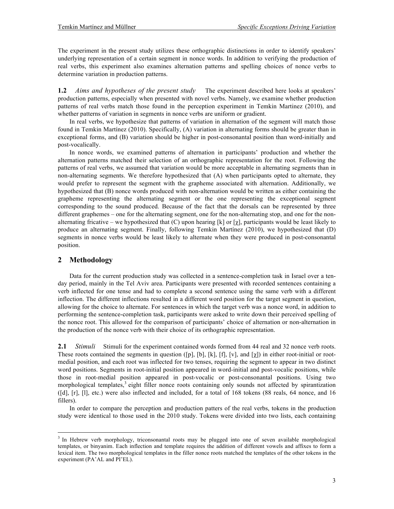The experiment in the present study utilizes these orthographic distinctions in order to identify speakers' underlying representation of a certain segment in nonce words. In addition to verifying the production of real verbs, this experiment also examines alternation patterns and spelling choices of nonce verbs to determine variation in production patterns.

**1.2** *Aims and hypotheses of the present study* The experiment described here looks at speakers' production patterns, especially when presented with novel verbs. Namely, we examine whether production patterns of real verbs match those found in the perception experiment in Temkin Martinez (2010), and whether patterns of variation in segments in nonce verbs are uniform or gradient.

In real verbs, we hypothesize that patterns of variation in alternation of the segment will match those found in Temkin Martínez (2010). Specifically, (A) variation in alternating forms should be greater than in exceptional forms, and (B) variation should be higher in post-consonantal position than word-initially and post-vocalically.

In nonce words, we examined patterns of alternation in participants' production and whether the alternation patterns matched their selection of an orthographic representation for the root. Following the patterns of real verbs, we assumed that variation would be more acceptable in alternating segments than in non-alternating segments. We therefore hypothesized that (A) when participants opted to alternate, they would prefer to represent the segment with the grapheme associated with alternation. Additionally, we hypothesized that (B) nonce words produced with non-alternation would be written as either containing the grapheme representing the alternating segment or the one representing the exceptional segment corresponding to the sound produced. Because of the fact that the dorsals can be represented by three different graphemes – one for the alternating segment, one for the non-alternating stop, and one for the nonalternating fricative – we hypothesized that (C) upon hearing [k] or [ $\chi$ ], participants would be least likely to produce an alternating segment. Finally, following Temkin Martínez (2010), we hypothesized that (D) segments in nonce verbs would be least likely to alternate when they were produced in post-consonantal position.

#### **2 Methodology**

 

Data for the current production study was collected in a sentence-completion task in Israel over a tenday period, mainly in the Tel Aviv area. Participants were presented with recorded sentences containing a verb inflected for one tense and had to complete a second sentence using the same verb with a different inflection. The different inflections resulted in a different word position for the target segment in question, allowing for the choice to alternate. For sentences in which the target verb was a nonce word, in addition to performing the sentence-completion task, participants were asked to write down their perceived spelling of the nonce root. This allowed for the comparison of participants' choice of alternation or non-alternation in the production of the nonce verb with their choice of its orthographic representation.

**2.1** *Stimuli* Stimuli for the experiment contained words formed from 44 real and 32 nonce verb roots. These roots contained the segments in question ([p], [b], [k], [f], [v], and [ $\chi$ ]) in either root-initial or rootmedial position, and each root was inflected for two tenses, requiring the segment to appear in two distinct word positions. Segments in root-initial position appeared in word-initial and post-vocalic positions, while those in root-medial position appeared in post-vocalic or post-consonantal positions. Using two morphological templates,<sup>3</sup> eight filler nonce roots containing only sounds not affected by spirantization ([d], [r], [l], etc.) were also inflected and included, for a total of 168 tokens (88 reals, 64 nonce, and 16 fillers).

In order to compare the perception and production patters of the real verbs, tokens in the production study were identical to those used in the 2010 study. Tokens were divided into two lists, each containing

<sup>&</sup>lt;sup>3</sup> In Hebrew verb morphology, triconsonantal roots may be plugged into one of seven available morphological templates, or binyanim. Each inflection and template requires the addition of different vowels and affixes to form a lexical item. The two morphological templates in the filler nonce roots matched the templates of the other tokens in the experiment (PA'AL and PI'EL).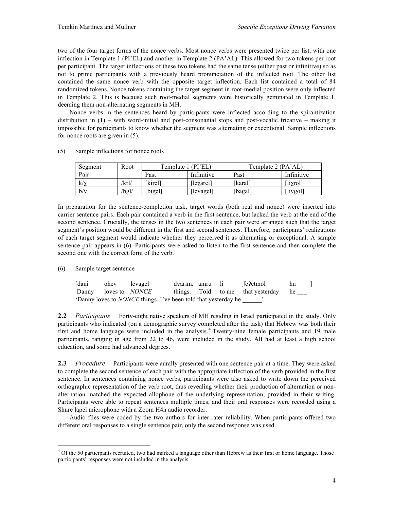two of the four target forms of the nonce verbs. Most nonce verbs were presented twice per list, with one inflection in Template 1 (PI'EL) and another in Template 2 (PA'AL). This allowed for two tokens per root per participant. The target inflections of these two tokens had the same tense (either past or infinitive) so as not to prime participants with a previously heard pronunciation of the inflected root. The other list contained the same nonce verb with the opposite target inflection. Each list contained a total of 84 randomized tokens. Nonce tokens containing the target segment in root-medial position were only inflected in Template 2. This is because such root-medial segments were historically geminated in Template 1, deeming them non-alternating segments in MH.

Nonce verbs in the sentences heard by participants were inflected according to the spirantization distribution in (1) – with word-initial and post-consonantal stops and post-vocalic fricative – making it impossible for participants to know whether the segment was alternating or exceptional. Sample inflections for nonce roots are given in (5).

| Segment  | Root  | Template 1 (PI'EL) |            | Template 2 (PA'AL) |                          |
|----------|-------|--------------------|------------|--------------------|--------------------------|
| Pair     |       | Past               | Infinitive | Past               | Infinitive               |
| $k/\chi$ | /krl/ | [kirel]            | [leyarel]  | [karal]            | $[i\gamma_{\text{rel}}]$ |
| b/v      | /bgl/ | [bigel]            | [levagel]  | [bagal]            | [livgol]                 |

(5) Sample inflections for nonce roots

In preparation for the sentence-completion task, target words (both real and nonce) were inserted into carrier sentence pairs. Each pair contained a verb in the first sentence, but lacked the verb at the end of the second sentence. Crucially, the tenses in the two sentences in each pair were arranged such that the target segment's position would be different in the first and second sentences. Therefore, participants' realizations of each target segment would indicate whether they perceived it as alternating or exceptional. A sample sentence pair appears in (6). Participants were asked to listen to the first sentence and then complete the second one with the correct form of the verb.

(6) Sample target sentence

 

| [dani                       | ohev levagel |                                                                       | dvarim, amru li |  | fe?etmol                             | hu |
|-----------------------------|--------------|-----------------------------------------------------------------------|-----------------|--|--------------------------------------|----|
| Danny loves to <i>NONCE</i> |              |                                                                       |                 |  | things. Told to me that vesterday he |    |
|                             |              | 'Danny loves to <i>NONCE</i> things. I've been told that yesterday he |                 |  |                                      |    |

**2.2** *Participants* Forty-eight native speakers of MH residing in Israel participated in the study. Only participants who indicated (on a demographic survey completed after the task) that Hebrew was both their first and home language were included in the analysis.<sup>4</sup> Twenty-nine female participants and 19 male participants, ranging in age from 22 to 46, were included in the study. All had at least a high school education, and some had advanced degrees.

**2.3** *Procedure* Participants were aurally presented with one sentence pair at a time. They were asked to complete the second sentence of each pair with the appropriate inflection of the verb provided in the first sentence. In sentences containing nonce verbs, participants were also asked to write down the perceived orthographic representation of the verb root, thus revealing whether their production of alternation or nonalternation matched the expected allophone of the underlying representation, provided in their writing. Participants were able to repeat sentences multiple times, and their oral responses were recorded using a Shure lapel microphone with a Zoom H4n audio recorder.

Audio files were coded by the two authors for inter-rater reliability. When participants offered two different oral responses to a single sentence pair, only the second response was used.

<sup>&</sup>lt;sup>4</sup> Of the 50 participants recruited, two had marked a language other than Hebrew as their first or home language. Those participants' responses were not included in the analysis.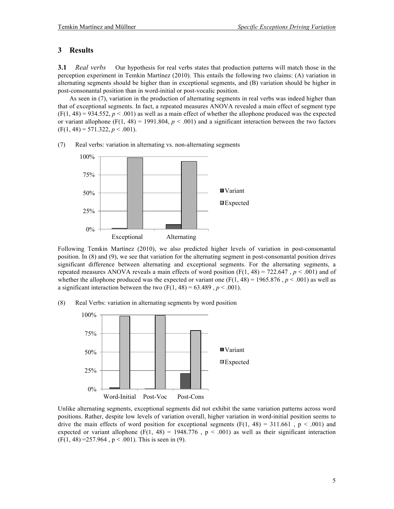#### **3 Results**

**3.1** *Real verbs* Our hypothesis for real verbs states that production patterns will match those in the perception experiment in Temkin Martínez (2010). This entails the following two claims: (A) variation in alternating segments should be higher than in exceptional segments, and (B) variation should be higher in post-consonantal position than in word-initial or post-vocalic position.

As seen in (7), variation in the production of alternating segments in real verbs was indeed higher than that of exceptional segments. In fact, a repeated measures ANOVA revealed a main effect of segment type  $(F(1, 48) = 934.552, p < .001)$  as well as a main effect of whether the allophone produced was the expected or variant allophone (F(1, 48) = 1991.804,  $p < .001$ ) and a significant interaction between the two factors  $(F(1, 48) = 571.322, p < .001)$ .



(7) Real verbs: variation in alternating vs. non-alternating segments

Following Temkin Martínez (2010), we also predicted higher levels of variation in post-consonantal position. In (8) and (9), we see that variation for the alternating segment in post-consonantal position drives significant difference between alternating and exceptional segments. For the alternating segments, a repeated measures ANOVA reveals a main effects of word position  $(F(1, 48) = 722.647$ ,  $p < .001$ ) and of whether the allophone produced was the expected or variant one  $(F(1, 48) = 1965.876, p < .001)$  as well as a significant interaction between the two  $(F(1, 48) = 63.489, p < .001)$ .

(8) Real Verbs: variation in alternating segments by word position



Unlike alternating segments, exceptional segments did not exhibit the same variation patterns across word positions. Rather, despite low levels of variation overall, higher variation in word-initial position seems to drive the main effects of word position for exceptional segments  $(F(1, 48) = 311.661, p < .001)$  and expected or variant allophone (F(1, 48) = 1948.776,  $p < .001$ ) as well as their significant interaction  $(F(1, 48) = 257.964, p < .001)$ . This is seen in (9).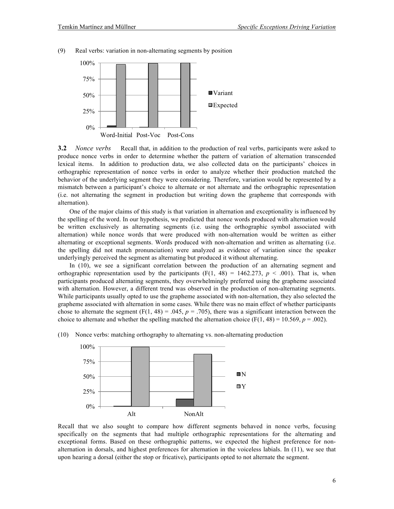

(9) Real verbs: variation in non-alternating segments by position

**3.2** *Nonce verbs* Recall that, in addition to the production of real verbs, participants were asked to produce nonce verbs in order to determine whether the pattern of variation of alternation transcended lexical items. In addition to production data, we also collected data on the participants' choices in orthographic representation of nonce verbs in order to analyze whether their production matched the behavior of the underlying segment they were considering. Therefore, variation would be represented by a mismatch between a participant's choice to alternate or not alternate and the orthographic representation (i.e. not alternating the segment in production but writing down the grapheme that corresponds with alternation).

One of the major claims of this study is that variation in alternation and exceptionality is influenced by the spelling of the word. In our hypothesis, we predicted that nonce words produced with alternation would be written exclusively as alternating segments (i.e. using the orthographic symbol associated with alternation) while nonce words that were produced with non-alternation would be written as either alternating or exceptional segments. Words produced with non-alternation and written as alternating (i.e. the spelling did not match pronunciation) were analyzed as evidence of variation since the speaker underlyingly perceived the segment as alternating but produced it without alternating.

In (10), we see a significant correlation between the production of an alternating segment and orthographic representation used by the participants  $(F(1, 48) = 1462.273, p < .001)$ . That is, when participants produced alternating segments, they overwhelmingly preferred using the grapheme associated with alternation. However, a different trend was observed in the production of non-alternating segments. While participants usually opted to use the grapheme associated with non-alternation, they also selected the grapheme associated with alternation in some cases. While there was no main effect of whether participants chose to alternate the segment  $(F(1, 48) = .045, p = .705)$ , there was a significant interaction between the choice to alternate and whether the spelling matched the alternation choice (F(1, 48) = 10.569,  $p = .002$ ).



(10) Nonce verbs: matching orthography to alternating vs. non-alternating production

Recall that we also sought to compare how different segments behaved in nonce verbs, focusing specifically on the segments that had multiple orthographic representations for the alternating and exceptional forms. Based on these orthographic patterns, we expected the highest preference for nonalternation in dorsals, and highest preferences for alternation in the voiceless labials. In (11), we see that upon hearing a dorsal (either the stop or fricative), participants opted to not alternate the segment.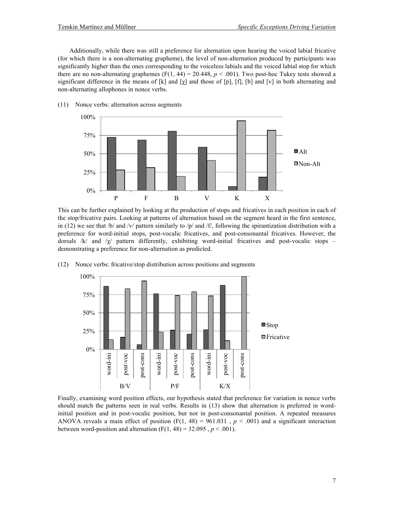Additionally, while there was still a preference for alternation upon hearing the voiced labial fricative (for which there is a non-alternating grapheme), the level of non-alternation produced by participants was significantly higher than the ones corresponding to the voiceless labials and the voiced labial stop for which there are no non-alternating graphemes (F(1, 44) = 20.448,  $p < .001$ ). Two post-hoc Tukey tests showed a significant difference in the means of [k] and  $[\chi]$  and those of [p], [f], [b] and [v] in both alternating and non-alternating allophones in nonce verbs.



(11) Nonce verbs: alternation across segments

This can be further explained by looking at the production of stops and fricatives in each position in each of the stop/fricative pairs. Looking at patterns of alternation based on the segment heard in the first sentence, in (12) we see that /b/ and /v/ pattern similarly to /p/ and /f/, following the spirantization distribution with a preference for word-initial stops, post-vocalic fricatives, and post-consonantal fricatives. However, the dorsals /k/ and / $\chi$ / pattern differently, exhibiting word-initial fricatives and post-vocalic stops – demonstrating a preference for non-alternation as predicted.



(12) Nonce verbs: fricative/stop distribution across positions and segments

Finally, examining word position effects, our hypothesis stated that preference for variation in nonce verbs should match the patterns seen in real verbs. Results in (13) show that alternation is preferred in wordinitial position and in post-vocalic position, but not in post-consonantal position. A repeated measures ANOVA reveals a main effect of position (F(1, 48) = 961.031,  $p < .001$ ) and a significant interaction between word-position and alternation  $(F(1, 48) = 32.095, p < .001)$ .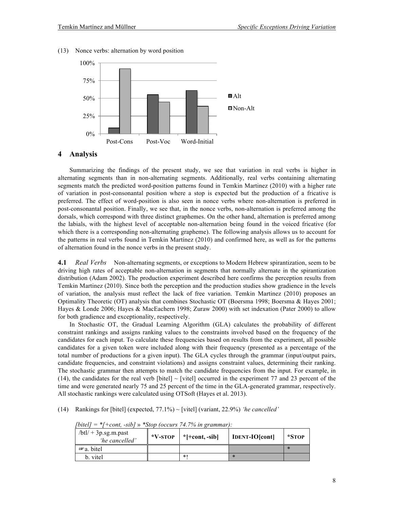

(13) Nonce verbs: alternation by word position

#### **4 Analysis**

Summarizing the findings of the present study, we see that variation in real verbs is higher in alternating segments than in non-alternating segments. Additionally, real verbs containing alternating segments match the predicted word-position patterns found in Temkin Martinez (2010) with a higher rate of variation in post-consonantal position where a stop is expected but the production of a fricative is preferred. The effect of word-position is also seen in nonce verbs where non-alternation is preferred in post-consonantal position. Finally, we see that, in the nonce verbs, non-alternation is preferred among the dorsals, which correspond with three distinct graphemes. On the other hand, alternation is preferred among the labials, with the highest level of acceptable non-alternation being found in the voiced fricative (for which there is a corresponding non-alternating grapheme). The following analysis allows us to account for the patterns in real verbs found in Temkin Martínez (2010) and confirmed here, as well as for the patterns of alternation found in the nonce verbs in the present study.

**4.1** *Real Verbs* Non-alternating segments, or exceptions to Modern Hebrew spirantization, seem to be driving high rates of acceptable non-alternation in segments that normally alternate in the spirantization distribution (Adam 2002). The production experiment described here confirms the perception results from Temkin Martinez (2010). Since both the perception and the production studies show gradience in the levels of variation, the analysis must reflect the lack of free variation. Temkin Martinez (2010) proposes an Optimality Theoretic (OT) analysis that combines Stochastic OT (Boersma 1998; Boersma & Hayes 2001; Hayes & Londe 2006; Hayes & MacEachern 1998; Zuraw 2000) with set indexation (Pater 2000) to allow for both gradience and exceptionality, respectively.

In Stochastic OT, the Gradual Learning Algorithm (GLA) calculates the probability of different constraint rankings and assigns ranking values to the constraints involved based on the frequency of the candidates for each input. To calculate these frequencies based on results from the experiment, all possible candidates for a given token were included along with their frequency (presented as a percentage of the total number of productions for a given input). The GLA cycles through the grammar (input/output pairs, candidate frequencies, and constraint violations) and assigns constraint values, determining their ranking. The stochastic grammar then attempts to match the candidate frequencies from the input. For example, in  $(14)$ , the candidates for the real verb [bitel]  $\sim$  [vitel] occurred in the experiment 77 and 23 percent of the time and were generated nearly 75 and 25 percent of the time in the GLA-generated grammar, respectively. All stochastic rankings were calculated using OTSoft (Hayes et al. 2013).

(14) Rankings for [bitel] (expected, 77.1%) ~ [vitel] (variant, 22.9%) *'he cancelled'*

| $/btl/ + 3p_{sg.}m_{apast}$<br>'he cancelled' | $*V$ -STOP | *[+cont, -sib] | <b>IDENT-IO[cont]</b> | *STOP  |
|-----------------------------------------------|------------|----------------|-----------------------|--------|
| $\infty$ a. bitel                             |            |                |                       | $\ast$ |
| b. vitel                                      |            | *1             |                       |        |

*[bitel] = \*[+cont, -sib]* » *\*Stop (occurs 74.7% in grammar):*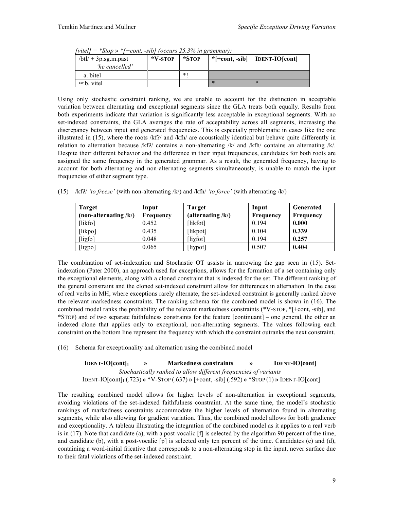| ,,,,,,<br><u>,,,,,,,,</u><br>$/btl/ + 3p_{.}sg.m.$ past<br>'he cancelled' | $\sim$ control to count $\sim$ 20.970 the $\sim$ continuous $\sim$<br>$*V$ -stop | *STOP  | $*$ [+cont, -sib] | <b>IDENT-IO[cont]</b> |
|---------------------------------------------------------------------------|----------------------------------------------------------------------------------|--------|-------------------|-----------------------|
| a. bitel                                                                  |                                                                                  | $\ast$ |                   |                       |
| $\infty$ b. vitel                                                         |                                                                                  |        | ∗                 | $\star$               |

*[vitel] = \*Stop* » *\*[+cont, -sib] (occurs 25.3% in grammar):*

Using only stochastic constraint ranking, we are unable to account for the distinction in acceptable variation between alternating and exceptional segments since the GLA treats both equally. Results from both experiments indicate that variation is significantly less acceptable in exceptional segments. With no set-indexed constraints, the GLA averages the rate of acceptability across all segments, increasing the discrepancy between input and generated frequencies. This is especially problematic in cases like the one illustrated in  $(15)$ , where the roots /kfʔ/ and /kfh/ are acoustically identical but behave quite differently in relation to alternation because /kfʔ/ contains a non-alternating /k/ and /kfh/ contains an alternating /k/. Despite their different behavior and the difference in their input frequencies, candidates for both roots are assigned the same frequency in the generated grammar. As a result, the generated frequency, having to account for both alternating and non-alternating segments simultaneously, is unable to match the input frequencies of either segment type.

|  | (15) /kf?/ 'to freeze' (with non-alternating /k/) and /kfh/ 'to force' (with alternating /k/) |  |  |
|--|-----------------------------------------------------------------------------------------------|--|--|
|  |                                                                                               |  |  |

| <b>Target</b>           | Input     | <b>Target</b>                          | Input     | <b>Generated</b> |
|-------------------------|-----------|----------------------------------------|-----------|------------------|
| (non-alternating $/k$ ) | Frequency | (alternating $/k$ )                    | Frequency | Frequency        |
| [likfo]                 | 0.452     | [likfot]                               | 0.194     | 0.000            |
| [likpo]                 | 0.435     | [likpot]                               | 0.104     | 0.339            |
| $\lceil$ lixfo]         | 0.048     | $\left[\text{li}\chi\text{fot}\right]$ | 0.194     | 0.257            |
| [liχpo]                 | 0.065     | [liχpot]                               | 0.507     | 0.404            |

The combination of set-indexation and Stochastic OT assists in narrowing the gap seen in (15). Setindexation (Pater 2000), an approach used for exceptions, allows for the formation of a set containing only the exceptional elements, along with a cloned constraint that is indexed for the set. The different ranking of the general constraint and the cloned set-indexed constraint allow for differences in alternation. In the case of real verbs in MH, where exceptions rarely alternate, the set-indexed constraint is generally ranked above the relevant markedness constraints. The ranking schema for the combined model is shown in (16). The combined model ranks the probability of the relevant markedness constraints (\*V-STOP, \*[+cont, -sib], and \*STOP) and of two separate faithfulness constraints for the feature [continuant] – one general, the other an indexed clone that applies only to exceptional, non-alternating segments. The values following each constraint on the bottom line represent the frequency with which the constraint outranks the next constraint.

(16) Schema for exceptionality and alternation using the combined model

| $IDENT-IO[cont]_1$                                               | $\rightarrow$ | <b>Markedness constraints</b>                                                                  | $\rightarrow$ | <b>IDENT-IO[cont]</b> |  |
|------------------------------------------------------------------|---------------|------------------------------------------------------------------------------------------------|---------------|-----------------------|--|
| Stochastically ranked to allow different frequencies of variants |               |                                                                                                |               |                       |  |
|                                                                  |               | $IDENT-IO[cont]_1$ (.723) » *V-STOP (.637) » [+cont, -sib] (.592) » *STOP (1) » IDENT-IO[cont] |               |                       |  |

The resulting combined model allows for higher levels of non-alternation in exceptional segments, avoiding violations of the set-indexed faithfulness constraint. At the same time, the model's stochastic rankings of markedness constraints accommodate the higher levels of alternation found in alternating segments, while also allowing for gradient variation. Thus, the combined model allows for both gradience and exceptionality. A tableau illustrating the integration of the combined model as it applies to a real verb is in  $(17)$ . Note that candidate (a), with a post-vocalic  $[f]$  is selected by the algorithm 90 percent of the time, and candidate (b), with a post-vocalic [p] is selected only ten percent of the time. Candidates (c) and (d), containing a word-initial fricative that corresponds to a non-alternating stop in the input, never surface due to their fatal violations of the set-indexed constraint.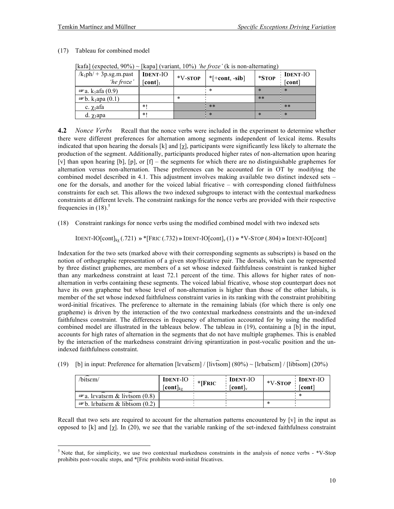| $\left  \right $ $\left  \right $ $\left  \right $ $\left  \right $ $\left  \right $ $\left  \right $ $\left  \right $ $\left  \right $ $\left  \right $ $\left  \right $ $\left  \right $ $\left  \right $ $\left  \right $ $\left  \right $ $\left  \right $ $\left  \right $ $\left  \right $ $\left  \right $ $\left  \right $ $\left  \right $ $\left  \right $ $\left  \right $ $\left  \right $ $\left  \right $ $\left  \$ |                            |            | $\kappa$ apa (variant, 1970) no $\mu$ 020 (K is non anomating) |       |                                      |  |
|------------------------------------------------------------------------------------------------------------------------------------------------------------------------------------------------------------------------------------------------------------------------------------------------------------------------------------------------------------------------------------------------------------------------------------|----------------------------|------------|----------------------------------------------------------------|-------|--------------------------------------|--|
| $/k_1ph$ + 3p.sg.m.past<br>'he froze'                                                                                                                                                                                                                                                                                                                                                                                              | <b>IDENT-IO</b><br>[cont]1 | $*V$ -STOP | $*$ [+cont, -sib]                                              | *STOP | <b>IDENT-IO</b><br>cont <sup>1</sup> |  |
| $\mathcal{F}$ a. k <sub>1</sub> afa (0.9)                                                                                                                                                                                                                                                                                                                                                                                          |                            |            |                                                                |       |                                      |  |
| $\mathcal{F}_b$ . k <sub>1</sub> apa (0.1)                                                                                                                                                                                                                                                                                                                                                                                         |                            | $\ast$     |                                                                | $* *$ |                                      |  |
| c. $\chi_1$ afa                                                                                                                                                                                                                                                                                                                                                                                                                    | $*1$                       |            | $**$                                                           |       | $* *$                                |  |
| d. $\chi_1$ apa                                                                                                                                                                                                                                                                                                                                                                                                                    | $*1$                       |            | $\star$                                                        |       |                                      |  |

[kafa] (expected, 90%) ~ [kapa] (variant, 10%) *'he froze'* (k is non-alternating)

**4.2** *Nonce Verbs* Recall that the nonce verbs were included in the experiment to determine whether there were different preferences for alternation among segments independent of lexical items. Results indicated that upon hearing the dorsals [k] and  $[\chi]$ , participants were significantly less likely to alternate the production of the segment. Additionally, participants produced higher rates of non-alternation upon hearing [v] than upon hearing [b], [p], or [f] – the segments for which there are no distinguishable graphemes for alternation versus non-alternation. These preferences can be accounted for in OT by modifying the combined model described in 4.1. This adjustment involves making available two distinct indexed sets – one for the dorsals, and another for the voiced labial fricative – with corresponding cloned faithfulness constraints for each set. This allows the two indexed subgroups to interact with the contextual markedness constraints at different levels. The constraint rankings for the nonce verbs are provided with their respective frequencies in  $(18)$ .<sup>5</sup>

(18) Constraint rankings for nonce verbs using the modified combined model with two indexed sets

 $IDENT-IO[cont]_{k\gamma}$  (.721)  $\gamma$  \*[FRIC (.732)  $\gamma$  IDENT-IO[cont]<sub>v</sub> (1)  $\gamma$  \*V-STOP (.804)  $\gamma$  IDENT-IO[cont]

Indexation for the two sets (marked above with their corresponding segments as subscripts) is based on the notion of orthographic representation of a given stop/fricative pair. The dorsals, which can be represented by three distinct graphemes, are members of a set whose indexed faithfulness constraint is ranked higher than any markedness constraint at least 72.1 percent of the time. This allows for higher rates of nonalternation in verbs containing these segments. The voiced labial fricative, whose stop counterpart does not have its own grapheme but whose level of non-alternation is higher than those of the other labials, is member of the set whose indexed faithfulness constraint varies in its ranking with the constraint prohibiting word-initial fricatives. The preference to alternate in the remaining labials (for which there is only one grapheme) is driven by the interaction of the two contextual markedness constraints and the un-indexed faithfulness constraint. The differences in frequency of alternation accounted for by using the modified combined model are illustrated in the tableaux below. The tableau in (19), containing a [b] in the input, accounts for high rates of alternation in the segments that do not have multiple graphemes. This is enabled by the interaction of the markedness constraint driving spirantization in post-vocalic position and the unindexed faithfulness constraint.

|  |  |  | (19) [b] in input: Preference for alternation [levatsem] / [livtsom] $(80\%) \sim$ [lebatsem] / [libtsom] $(20\%)$ |  |  |  |  |  |  |  |
|--|--|--|--------------------------------------------------------------------------------------------------------------------|--|--|--|--|--|--|--|
|  |  |  |                                                                                                                    |  |  |  |  |  |  |  |
|  |  |  |                                                                                                                    |  |  |  |  |  |  |  |

| bitsem/                                   | <b>IDENT-IO</b><br>$[cont]_{k\gamma}$ | $*$ [FRIC | <b>IDENT-IO</b><br>$ $ cont $ $ . | *V-STOP | <b>IDENT-IO</b><br>「cont」 |
|-------------------------------------------|---------------------------------------|-----------|-----------------------------------|---------|---------------------------|
| $\mathcal{F}$ a. levatsem & livtsom (0.8) |                                       |           |                                   |         |                           |
| $\mathcal{F}$ b. labatsam & libtsom (0.2) |                                       |           |                                   |         |                           |

Recall that two sets are required to account for the alternation patterns encountered by  $[v]$  in the input as opposed to [k] and  $[\chi]$ . In (20), we see that the variable ranking of the set-indexed faithfulness constraint

<sup>&</sup>lt;sup>5</sup> Note that, for simplicity, we use two contextual markedness constraints in the analysis of nonce verbs - \*V-Stop prohibits post-vocalic stops, and \*[Fric prohibits word-initial fricatives.